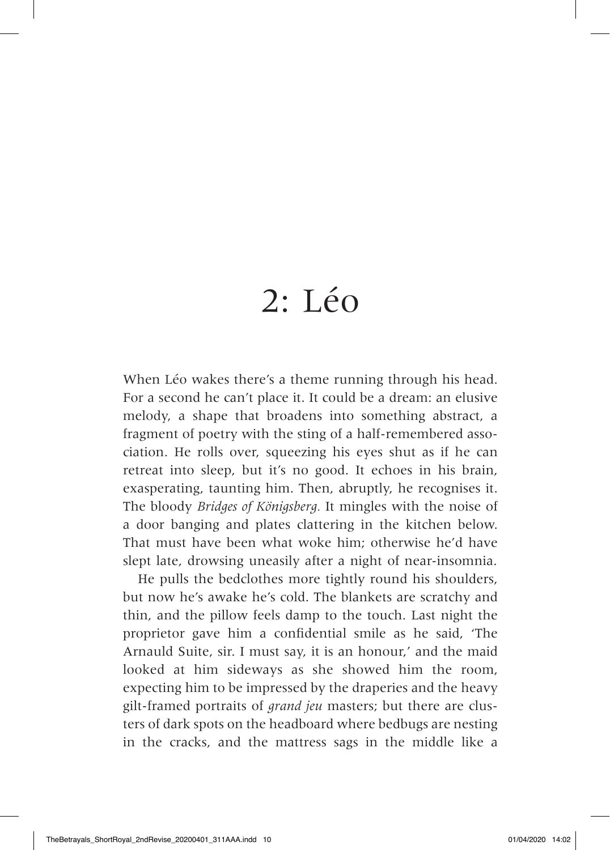# 2: Léo

When Léo wakes there's a theme running through his head. For a second he can't place it. It could be a dream: an elusive melody, a shape that broadens into something abstract, a fragment of poetry with the sting of a half-remembered association. He rolls over, squeezing his eyes shut as if he can retreat into sleep, but it's no good. It echoes in his brain, exasperating, taunting him. Then, abruptly, he recognises it. The bloody *Bridges of Königsberg.* It mingles with the noise of a door banging and plates clattering in the kitchen below. That must have been what woke him; otherwise he'd have slept late, drowsing uneasily after a night of near-insomnia.

He pulls the bedclothes more tightly round his shoulders, but now he's awake he's cold. The blankets are scratchy and thin, and the pillow feels damp to the touch. Last night the proprietor gave him a confidential smile as he said, 'The Arnauld Suite, sir. I must say, it is an honour,' and the maid looked at him sideways as she showed him the room, expecting him to be impressed by the draperies and the heavy gilt-framed portraits of *grand jeu* masters; but there are clusters of dark spots on the headboard where bedbugs are nesting in the cracks, and the mattress sags in the middle like a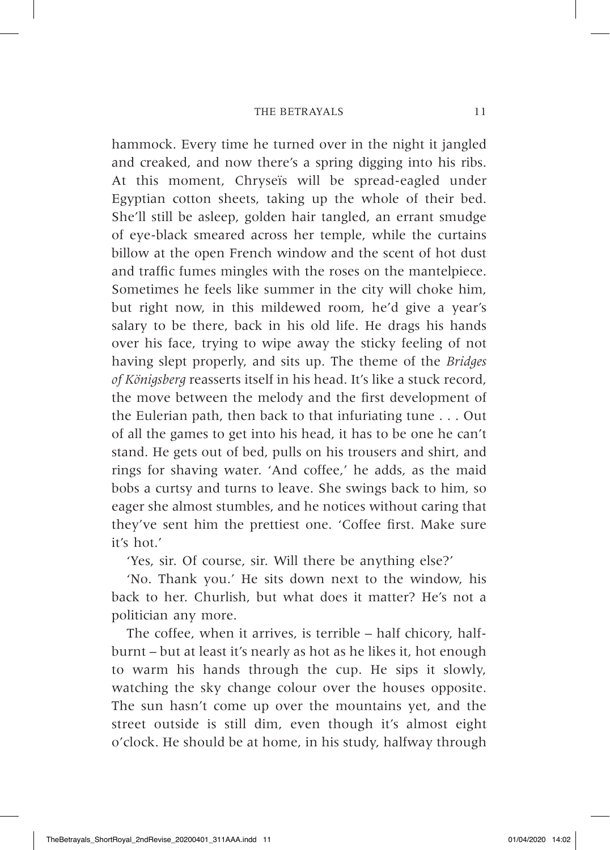hammock. Every time he turned over in the night it jangled and creaked, and now there's a spring digging into his ribs. At this moment, Chryseïs will be spread-eagled under Egyptian cotton sheets, taking up the whole of their bed. She'll still be asleep, golden hair tangled, an errant smudge of eye-black smeared across her temple, while the curtains billow at the open French window and the scent of hot dust and traffic fumes mingles with the roses on the mantelpiece. Sometimes he feels like summer in the city will choke him, but right now, in this mildewed room, he'd give a year's salary to be there, back in his old life. He drags his hands over his face, trying to wipe away the sticky feeling of not having slept properly, and sits up. The theme of the *Bridges of Königsberg* reasserts itself in his head. It's like a stuck record, the move between the melody and the first development of the Eulerian path, then back to that infuriating tune . . . Out of all the games to get into his head, it has to be one he can't stand. He gets out of bed, pulls on his trousers and shirt, and rings for shaving water. 'And coffee,' he adds, as the maid bobs a curtsy and turns to leave. She swings back to him, so eager she almost stumbles, and he notices without caring that they've sent him the prettiest one. 'Coffee first. Make sure it's hot.'

'Yes, sir. Of course, sir. Will there be anything else?'

'No. Thank you.' He sits down next to the window, his back to her. Churlish, but what does it matter? He's not a politician any more.

The coffee, when it arrives, is terrible – half chicory, halfburnt – but at least it's nearly as hot as he likes it, hot enough to warm his hands through the cup. He sips it slowly, watching the sky change colour over the houses opposite. The sun hasn't come up over the mountains yet, and the street outside is still dim, even though it's almost eight o'clock. He should be at home, in his study, halfway through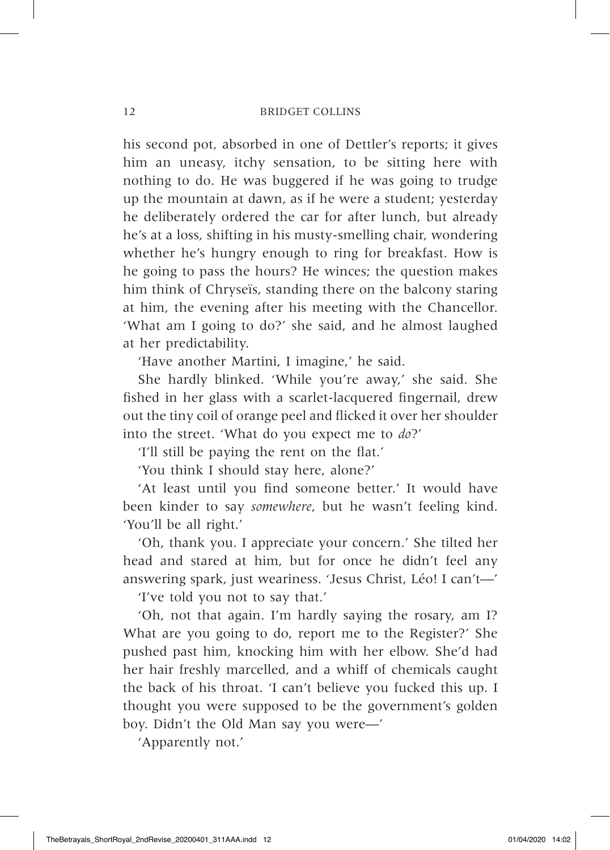his second pot, absorbed in one of Dettler's reports; it gives him an uneasy, itchy sensation, to be sitting here with nothing to do. He was buggered if he was going to trudge up the mountain at dawn, as if he were a student; yesterday he deliberately ordered the car for after lunch, but already he's at a loss, shifting in his musty-smelling chair, wondering whether he's hungry enough to ring for breakfast. How is he going to pass the hours? He winces; the question makes him think of Chryseïs, standing there on the balcony staring at him, the evening after his meeting with the Chancellor. 'What am I going to do?' she said, and he almost laughed at her predictability.

'Have another Martini, I imagine,' he said.

She hardly blinked. 'While you're away,' she said. She fished in her glass with a scarlet-lacquered fingernail, drew out the tiny coil of orange peel and flicked it over her shoulder into the street. 'What do you expect me to *do*?'

'I'll still be paying the rent on the flat.'

'You think I should stay here, alone?'

'At least until you find someone better.' It would have been kinder to say *somewhere*, but he wasn't feeling kind. 'You'll be all right.'

'Oh, thank you. I appreciate your concern.' She tilted her head and stared at him, but for once he didn't feel any answering spark, just weariness. 'Jesus Christ, Léo! I can't—'

'I've told you not to say that.'

'Oh, not that again. I'm hardly saying the rosary, am I? What are you going to do, report me to the Register?' She pushed past him, knocking him with her elbow. She'd had her hair freshly marcelled, and a whiff of chemicals caught the back of his throat. 'I can't believe you fucked this up. I thought you were supposed to be the government's golden boy. Didn't the Old Man say you were—'

'Apparently not.'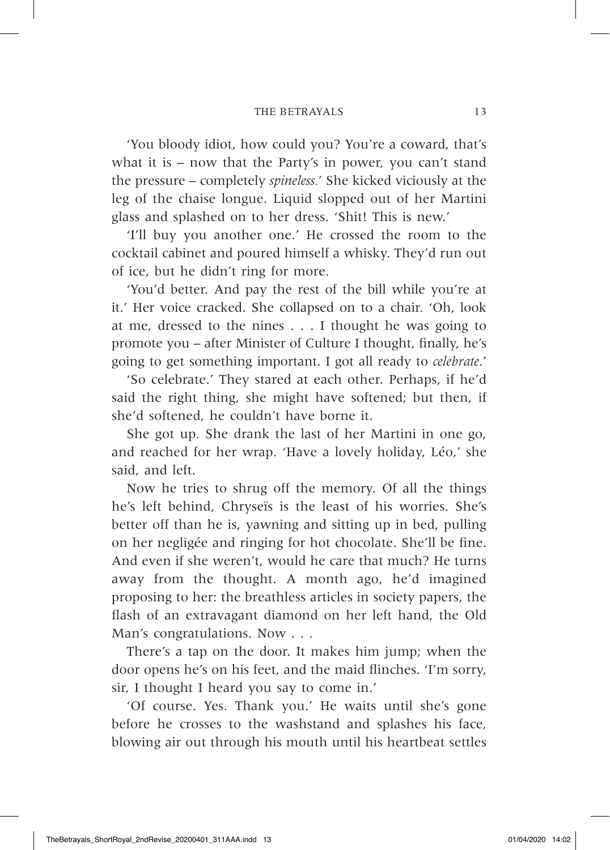'You bloody idiot, how could you? You're a coward, that's what it is – now that the Party's in power, you can't stand the pressure – completely *spineless.*' She kicked viciously at the leg of the chaise longue. Liquid slopped out of her Martini glass and splashed on to her dress. 'Shit! This is new.'

'I'll buy you another one.' He crossed the room to the cocktail cabinet and poured himself a whisky. They'd run out of ice, but he didn't ring for more.

'You'd better. And pay the rest of the bill while you're at it.' Her voice cracked. She collapsed on to a chair. 'Oh, look at me, dressed to the nines . . . I thought he was going to promote you – after Minister of Culture I thought, finally, he's going to get something important. I got all ready to *celebrate*.'

'So celebrate.' They stared at each other. Perhaps, if he'd said the right thing, she might have softened; but then, if she'd softened, he couldn't have borne it.

She got up. She drank the last of her Martini in one go, and reached for her wrap. 'Have a lovely holiday, Léo,' she said, and left.

Now he tries to shrug off the memory. Of all the things he's left behind, Chryseïs is the least of his worries. She's better off than he is, yawning and sitting up in bed, pulling on her negligée and ringing for hot chocolate. She'll be fine. And even if she weren't, would he care that much? He turns away from the thought. A month ago, he'd imagined proposing to her: the breathless articles in society papers, the flash of an extravagant diamond on her left hand, the Old Man's congratulations. Now . . .

There's a tap on the door. It makes him jump; when the door opens he's on his feet, and the maid flinches. 'I'm sorry, sir, I thought I heard you say to come in.'

'Of course. Yes. Thank you.' He waits until she's gone before he crosses to the washstand and splashes his face, blowing air out through his mouth until his heartbeat settles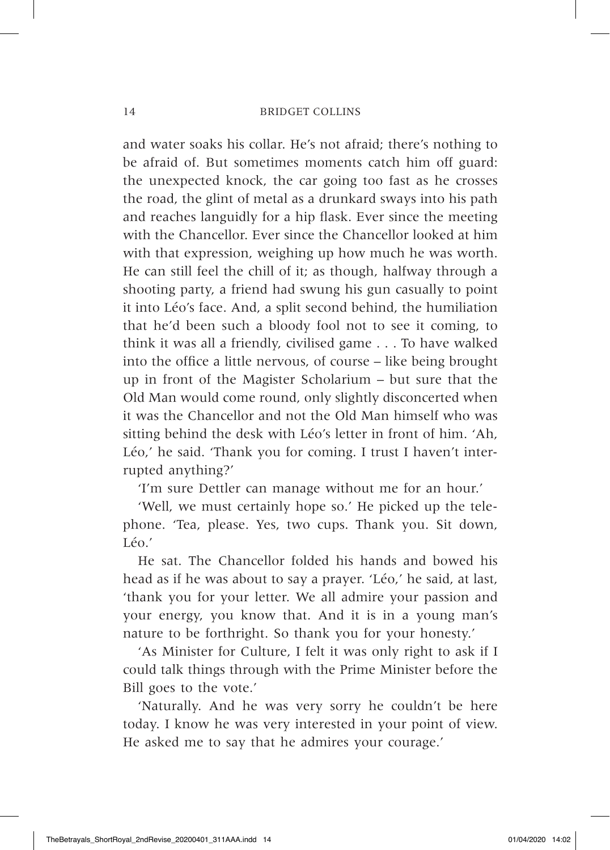and water soaks his collar. He's not afraid; there's nothing to be afraid of. But sometimes moments catch him off guard: the unexpected knock, the car going too fast as he crosses the road, the glint of metal as a drunkard sways into his path and reaches languidly for a hip flask. Ever since the meeting with the Chancellor. Ever since the Chancellor looked at him with that expression, weighing up how much he was worth. He can still feel the chill of it; as though, halfway through a shooting party, a friend had swung his gun casually to point it into Léo's face. And, a split second behind, the humiliation that he'd been such a bloody fool not to see it coming, to think it was all a friendly, civilised game . . . To have walked into the office a little nervous, of course – like being brought up in front of the Magister Scholarium – but sure that the Old Man would come round, only slightly disconcerted when it was the Chancellor and not the Old Man himself who was sitting behind the desk with Léo's letter in front of him. 'Ah, Léo,' he said. 'Thank you for coming. I trust I haven't interrupted anything?'

'I'm sure Dettler can manage without me for an hour.'

'Well, we must certainly hope so.' He picked up the telephone. 'Tea, please. Yes, two cups. Thank you. Sit down, Léo.'

He sat. The Chancellor folded his hands and bowed his head as if he was about to say a prayer. 'Léo,' he said, at last, 'thank you for your letter. We all admire your passion and your energy, you know that. And it is in a young man's nature to be forthright. So thank you for your honesty.'

'As Minister for Culture, I felt it was only right to ask if I could talk things through with the Prime Minister before the Bill goes to the vote.'

'Naturally. And he was very sorry he couldn't be here today. I know he was very interested in your point of view. He asked me to say that he admires your courage.'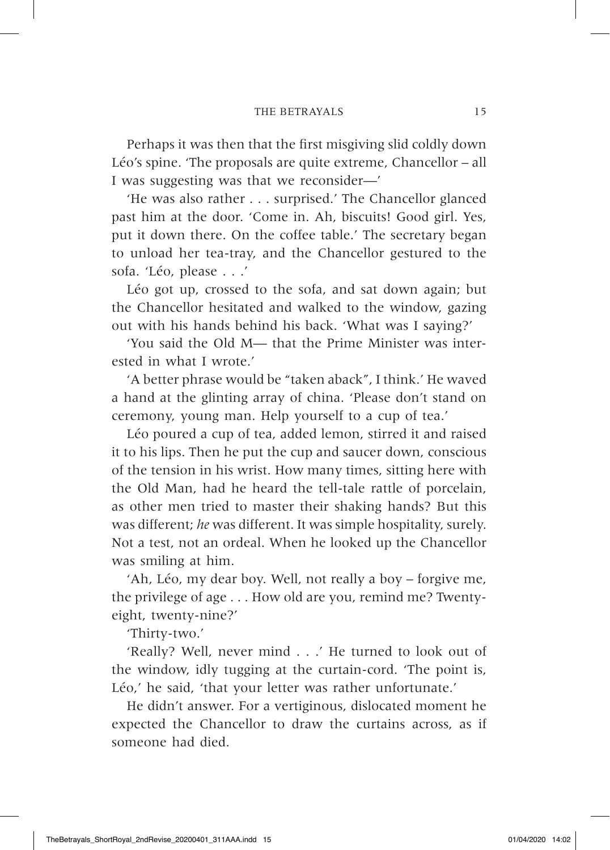Perhaps it was then that the first misgiving slid coldly down Léo's spine. 'The proposals are quite extreme, Chancellor – all I was suggesting was that we reconsider—'

'He was also rather . . . surprised.' The Chancellor glanced past him at the door. 'Come in. Ah, biscuits! Good girl. Yes, put it down there. On the coffee table.' The secretary began to unload her tea-tray, and the Chancellor gestured to the sofa. 'Léo, please . . .'

Léo got up, crossed to the sofa, and sat down again; but the Chancellor hesitated and walked to the window, gazing out with his hands behind his back. 'What was I saying?'

'You said the Old M— that the Prime Minister was interested in what I wrote.'

'A better phrase would be "taken aback", I think.' He waved a hand at the glinting array of china. 'Please don't stand on ceremony, young man. Help yourself to a cup of tea.'

Léo poured a cup of tea, added lemon, stirred it and raised it to his lips. Then he put the cup and saucer down, conscious of the tension in his wrist. How many times, sitting here with the Old Man, had he heard the tell-tale rattle of porcelain, as other men tried to master their shaking hands? But this was different; *he* was different. It was simple hospitality, surely. Not a test, not an ordeal. When he looked up the Chancellor was smiling at him.

'Ah, Léo, my dear boy. Well, not really a boy – forgive me, the privilege of age . . . How old are you, remind me? Twentyeight, twenty-nine?'

'Thirty-two.'

'Really? Well, never mind . . .' He turned to look out of the window, idly tugging at the curtain-cord. 'The point is, Léo,' he said, 'that your letter was rather unfortunate.'

He didn't answer. For a vertiginous, dislocated moment he expected the Chancellor to draw the curtains across, as if someone had died.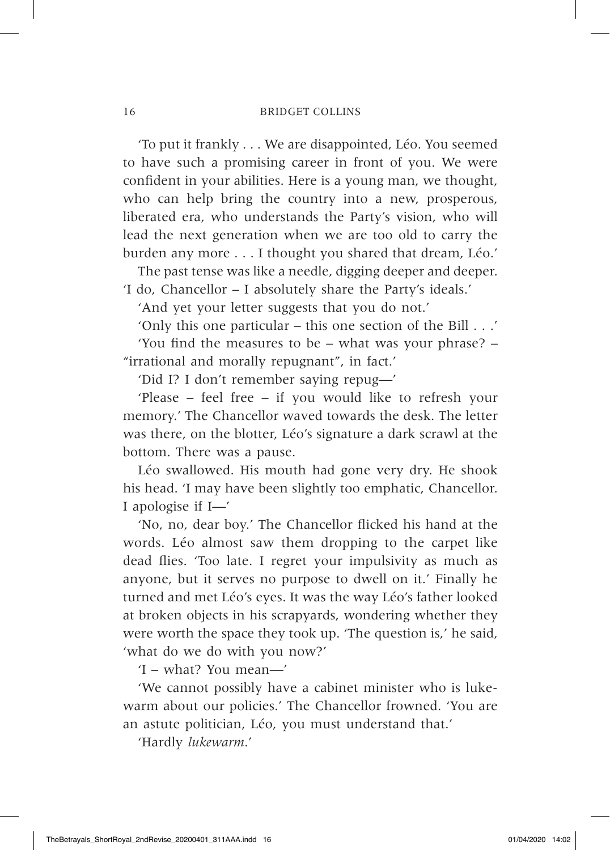'To put it frankly . . . We are disappointed, Léo. You seemed to have such a promising career in front of you. We were confident in your abilities. Here is a young man, we thought, who can help bring the country into a new, prosperous, liberated era, who understands the Party's vision, who will lead the next generation when we are too old to carry the burden any more . . . I thought you shared that dream, Léo.'

The past tense was like a needle, digging deeper and deeper. 'I do, Chancellor – I absolutely share the Party's ideals.'

'And yet your letter suggests that you do not.'

'Only this one particular – this one section of the Bill . . .' 'You find the measures to be – what was your phrase? – "irrational and morally repugnant", in fact.'

'Did I? I don't remember saying repug—'

'Please – feel free – if you would like to refresh your memory.' The Chancellor waved towards the desk. The letter was there, on the blotter, Léo's signature a dark scrawl at the bottom. There was a pause.

Léo swallowed. His mouth had gone very dry. He shook his head. 'I may have been slightly too emphatic, Chancellor. I apologise if I—'

'No, no, dear boy.' The Chancellor flicked his hand at the words. Léo almost saw them dropping to the carpet like dead flies. 'Too late. I regret your impulsivity as much as anyone, but it serves no purpose to dwell on it.' Finally he turned and met Léo's eyes. It was the way Léo's father looked at broken objects in his scrapyards, wondering whether they were worth the space they took up. 'The question is,' he said, 'what do we do with you now?'

'I – what? You mean—'

'We cannot possibly have a cabinet minister who is lukewarm about our policies.' The Chancellor frowned. 'You are an astute politician, Léo, you must understand that.'

'Hardly *lukewarm*.'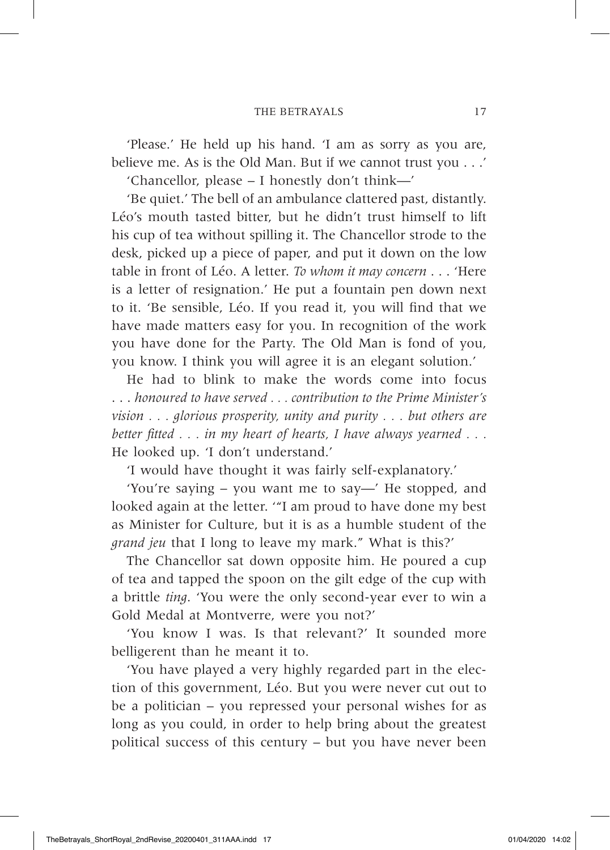'Please.' He held up his hand. 'I am as sorry as you are, believe me. As is the Old Man. But if we cannot trust you . . .'

'Chancellor, please – I honestly don't think—'

'Be quiet.' The bell of an ambulance clattered past, distantly. Léo's mouth tasted bitter, but he didn't trust himself to lift his cup of tea without spilling it. The Chancellor strode to the desk, picked up a piece of paper, and put it down on the low table in front of Léo. A letter. *To whom it may concern* . . . 'Here is a letter of resignation.' He put a fountain pen down next to it. 'Be sensible, Léo. If you read it, you will find that we have made matters easy for you. In recognition of the work you have done for the Party. The Old Man is fond of you, you know. I think you will agree it is an elegant solution.'

He had to blink to make the words come into focus . . . *honoured to have served . . . contribution to the Prime Minister's vision . . . glorious prosperity, unity and purity . . . but others are better fitted . . . in my heart of hearts, I have always yearned . . .* He looked up. 'I don't understand.'

'I would have thought it was fairly self-explanatory.'

'You're saying – you want me to say—' He stopped, and looked again at the letter. '"I am proud to have done my best as Minister for Culture, but it is as a humble student of the *grand jeu* that I long to leave my mark." What is this?'

The Chancellor sat down opposite him. He poured a cup of tea and tapped the spoon on the gilt edge of the cup with a brittle *ting*. 'You were the only second-year ever to win a Gold Medal at Montverre, were you not?'

'You know I was. Is that relevant?' It sounded more belligerent than he meant it to.

'You have played a very highly regarded part in the election of this government, Léo. But you were never cut out to be a politician – you repressed your personal wishes for as long as you could, in order to help bring about the greatest political success of this century – but you have never been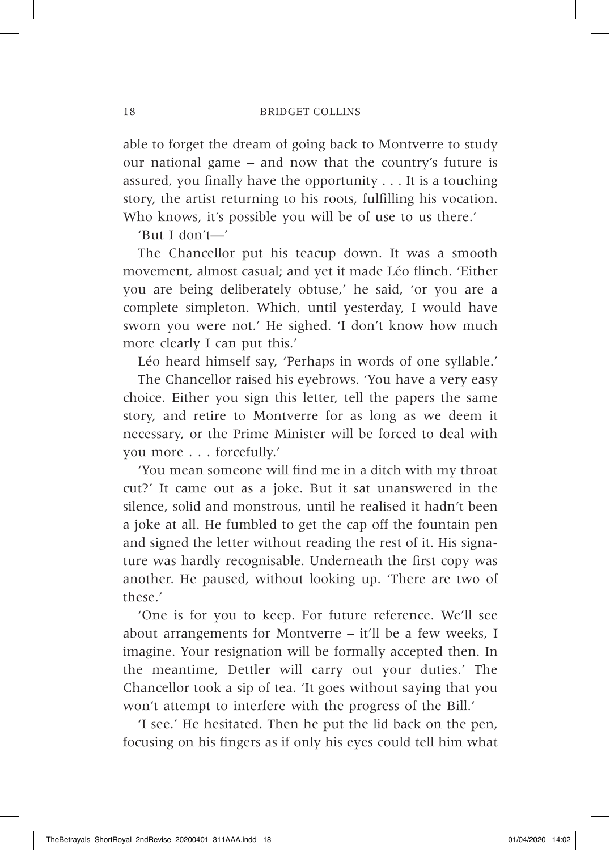able to forget the dream of going back to Montverre to study our national game – and now that the country's future is assured, you finally have the opportunity . . . It is a touching story, the artist returning to his roots, fulfilling his vocation. Who knows, it's possible you will be of use to us there.'

'But I don't—'

The Chancellor put his teacup down. It was a smooth movement, almost casual; and yet it made Léo flinch. 'Either you are being deliberately obtuse,' he said, 'or you are a complete simpleton. Which, until yesterday, I would have sworn you were not.' He sighed. 'I don't know how much more clearly I can put this.'

Léo heard himself say, 'Perhaps in words of one syllable.' The Chancellor raised his eyebrows. 'You have a very easy choice. Either you sign this letter, tell the papers the same story, and retire to Montverre for as long as we deem it necessary, or the Prime Minister will be forced to deal with you more . . . forcefully.'

'You mean someone will find me in a ditch with my throat cut?' It came out as a joke. But it sat unanswered in the silence, solid and monstrous, until he realised it hadn't been a joke at all. He fumbled to get the cap off the fountain pen and signed the letter without reading the rest of it. His signature was hardly recognisable. Underneath the first copy was another. He paused, without looking up. 'There are two of these.'

'One is for you to keep. For future reference. We'll see about arrangements for Montverre – it'll be a few weeks, I imagine. Your resignation will be formally accepted then. In the meantime, Dettler will carry out your duties.' The Chancellor took a sip of tea. 'It goes without saying that you won't attempt to interfere with the progress of the Bill.'

'I see.' He hesitated. Then he put the lid back on the pen, focusing on his fingers as if only his eyes could tell him what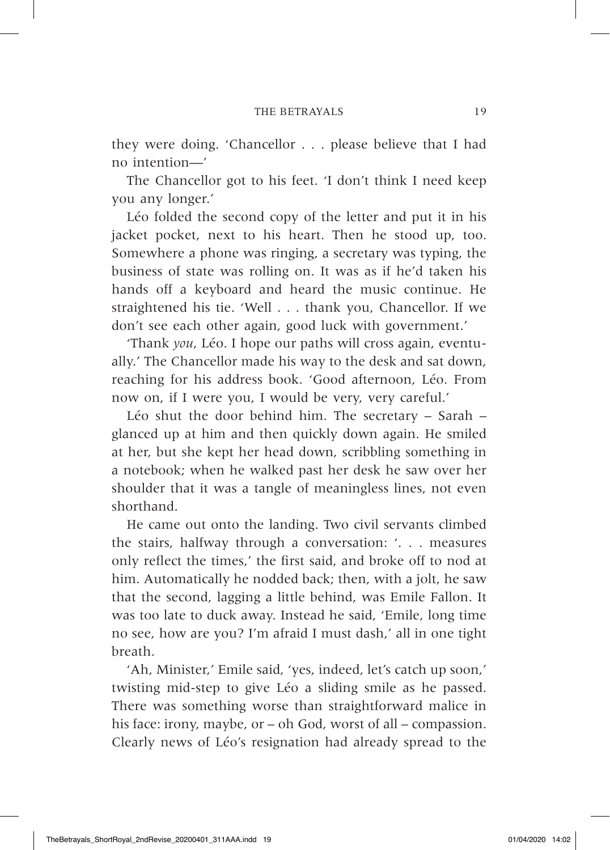they were doing. 'Chancellor . . . please believe that I had no intention—'

The Chancellor got to his feet. 'I don't think I need keep you any longer.'

Léo folded the second copy of the letter and put it in his jacket pocket, next to his heart. Then he stood up, too. Somewhere a phone was ringing, a secretary was typing, the business of state was rolling on. It was as if he'd taken his hands off a keyboard and heard the music continue. He straightened his tie. 'Well . . . thank you, Chancellor. If we don't see each other again, good luck with government.'

'Thank *you*, Léo. I hope our paths will cross again, eventually.' The Chancellor made his way to the desk and sat down, reaching for his address book. 'Good afternoon, Léo. From now on, if I were you, I would be very, very careful.'

Léo shut the door behind him. The secretary – Sarah – glanced up at him and then quickly down again. He smiled at her, but she kept her head down, scribbling something in a notebook; when he walked past her desk he saw over her shoulder that it was a tangle of meaningless lines, not even shorthand.

He came out onto the landing. Two civil servants climbed the stairs, halfway through a conversation: '. . . measures only reflect the times,' the first said, and broke off to nod at him. Automatically he nodded back; then, with a jolt, he saw that the second, lagging a little behind, was Emile Fallon. It was too late to duck away. Instead he said, 'Emile, long time no see, how are you? I'm afraid I must dash,' all in one tight breath.

'Ah, Minister,' Emile said, 'yes, indeed, let's catch up soon,' twisting mid-step to give Léo a sliding smile as he passed. There was something worse than straightforward malice in his face: irony, maybe, or – oh God, worst of all – compassion. Clearly news of Léo's resignation had already spread to the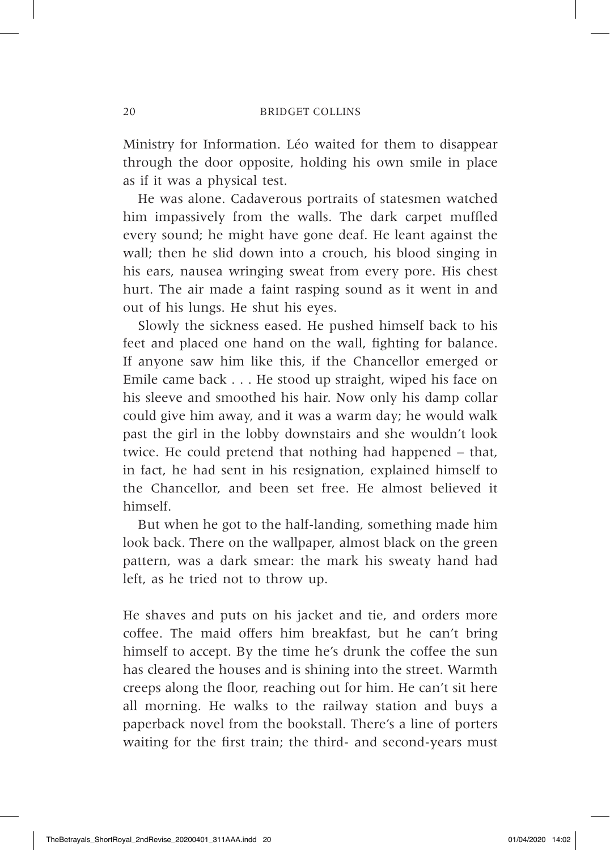Ministry for Information. Léo waited for them to disappear through the door opposite, holding his own smile in place as if it was a physical test.

He was alone. Cadaverous portraits of statesmen watched him impassively from the walls. The dark carpet muffled every sound; he might have gone deaf. He leant against the wall; then he slid down into a crouch, his blood singing in his ears, nausea wringing sweat from every pore. His chest hurt. The air made a faint rasping sound as it went in and out of his lungs. He shut his eyes.

Slowly the sickness eased. He pushed himself back to his feet and placed one hand on the wall, fighting for balance. If anyone saw him like this, if the Chancellor emerged or Emile came back . . . He stood up straight, wiped his face on his sleeve and smoothed his hair. Now only his damp collar could give him away, and it was a warm day; he would walk past the girl in the lobby downstairs and she wouldn't look twice. He could pretend that nothing had happened – that, in fact, he had sent in his resignation, explained himself to the Chancellor, and been set free. He almost believed it himself.

But when he got to the half-landing, something made him look back. There on the wallpaper, almost black on the green pattern, was a dark smear: the mark his sweaty hand had left, as he tried not to throw up.

He shaves and puts on his jacket and tie, and orders more coffee. The maid offers him breakfast, but he can't bring himself to accept. By the time he's drunk the coffee the sun has cleared the houses and is shining into the street. Warmth creeps along the floor, reaching out for him. He can't sit here all morning. He walks to the railway station and buys a paperback novel from the bookstall. There's a line of porters waiting for the first train; the third- and second-years must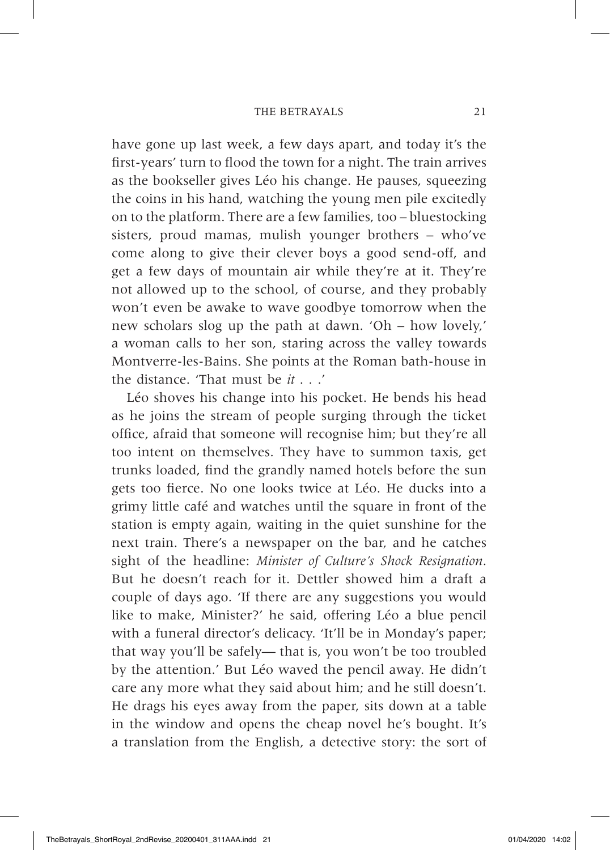have gone up last week, a few days apart, and today it's the first-years' turn to flood the town for a night. The train arrives as the bookseller gives Léo his change. He pauses, squeezing the coins in his hand, watching the young men pile excitedly on to the platform. There are a few families, too – bluestocking sisters, proud mamas, mulish younger brothers – who've come along to give their clever boys a good send-off, and get a few days of mountain air while they're at it. They're not allowed up to the school, of course, and they probably won't even be awake to wave goodbye tomorrow when the new scholars slog up the path at dawn. 'Oh – how lovely,' a woman calls to her son, staring across the valley towards Montverre-les-Bains. She points at the Roman bath-house in the distance. 'That must be *it* . . .'

Léo shoves his change into his pocket. He bends his head as he joins the stream of people surging through the ticket office, afraid that someone will recognise him; but they're all too intent on themselves. They have to summon taxis, get trunks loaded, find the grandly named hotels before the sun gets too fierce. No one looks twice at Léo. He ducks into a grimy little café and watches until the square in front of the station is empty again, waiting in the quiet sunshine for the next train. There's a newspaper on the bar, and he catches sight of the headline: *Minister of Culture's Shock Resignation*. But he doesn't reach for it. Dettler showed him a draft a couple of days ago. 'If there are any suggestions you would like to make, Minister?' he said, offering Léo a blue pencil with a funeral director's delicacy. 'It'll be in Monday's paper; that way you'll be safely— that is, you won't be too troubled by the attention.' But Léo waved the pencil away. He didn't care any more what they said about him; and he still doesn't. He drags his eyes away from the paper, sits down at a table in the window and opens the cheap novel he's bought. It's a translation from the English, a detective story: the sort of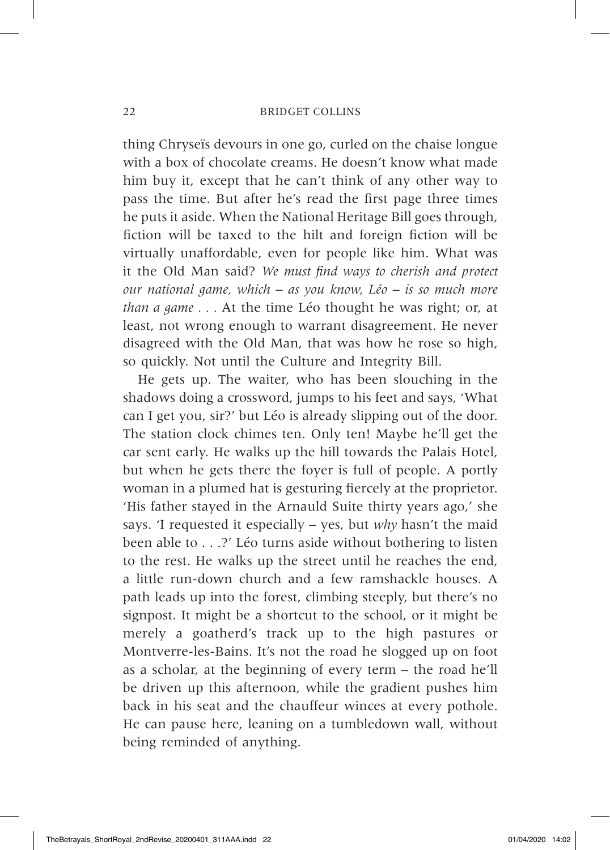thing Chryseïs devours in one go, curled on the chaise longue with a box of chocolate creams. He doesn't know what made him buy it, except that he can't think of any other way to pass the time. But after he's read the first page three times he puts it aside. When the National Heritage Bill goes through, fiction will be taxed to the hilt and foreign fiction will be virtually unaffordable, even for people like him. What was it the Old Man said? *We must find ways to cherish and protect our national game, which – as you know, Léo – is so much more than a game . . .* At the time Léo thought he was right; or, at least, not wrong enough to warrant disagreement. He never disagreed with the Old Man, that was how he rose so high, so quickly. Not until the Culture and Integrity Bill.

He gets up. The waiter, who has been slouching in the shadows doing a crossword, jumps to his feet and says, 'What can I get you, sir?' but Léo is already slipping out of the door. The station clock chimes ten. Only ten! Maybe he'll get the car sent early. He walks up the hill towards the Palais Hotel, but when he gets there the foyer is full of people. A portly woman in a plumed hat is gesturing fiercely at the proprietor. 'His father stayed in the Arnauld Suite thirty years ago,' she says. 'I requested it especially – yes, but *why* hasn't the maid been able to . . .?' Léo turns aside without bothering to listen to the rest. He walks up the street until he reaches the end, a little run-down church and a few ramshackle houses. A path leads up into the forest, climbing steeply, but there's no signpost. It might be a shortcut to the school, or it might be merely a goatherd's track up to the high pastures or Montverre-les-Bains. It's not the road he slogged up on foot as a scholar, at the beginning of every term – the road he'll be driven up this afternoon, while the gradient pushes him back in his seat and the chauffeur winces at every pothole. He can pause here, leaning on a tumbledown wall, without being reminded of anything.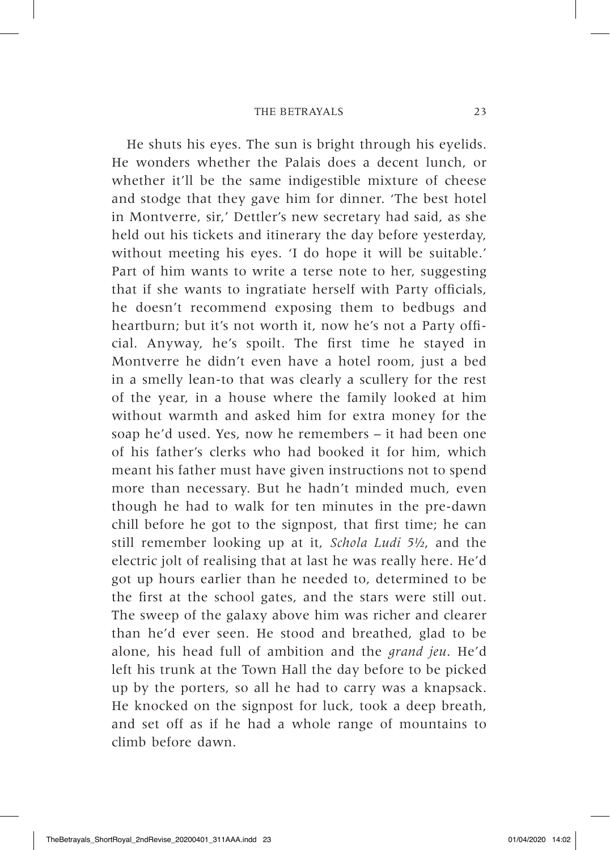He shuts his eyes. The sun is bright through his eyelids. He wonders whether the Palais does a decent lunch, or whether it'll be the same indigestible mixture of cheese and stodge that they gave him for dinner. 'The best hotel in Montverre, sir,' Dettler's new secretary had said, as she held out his tickets and itinerary the day before yesterday, without meeting his eyes. 'I do hope it will be suitable.' Part of him wants to write a terse note to her, suggesting that if she wants to ingratiate herself with Party officials, he doesn't recommend exposing them to bedbugs and heartburn; but it's not worth it, now he's not a Party official. Anyway, he's spoilt. The first time he stayed in Montverre he didn't even have a hotel room, just a bed in a smelly lean-to that was clearly a scullery for the rest of the year, in a house where the family looked at him without warmth and asked him for extra money for the soap he'd used. Yes, now he remembers – it had been one of his father's clerks who had booked it for him, which meant his father must have given instructions not to spend more than necessary. But he hadn't minded much, even though he had to walk for ten minutes in the pre-dawn chill before he got to the signpost, that first time; he can still remember looking up at it, *Schola Ludi 5½*, and the electric jolt of realising that at last he was really here. He'd got up hours earlier than he needed to, determined to be the first at the school gates, and the stars were still out. The sweep of the galaxy above him was richer and clearer than he'd ever seen. He stood and breathed, glad to be alone, his head full of ambition and the *grand jeu*. He'd left his trunk at the Town Hall the day before to be picked up by the porters, so all he had to carry was a knapsack. He knocked on the signpost for luck, took a deep breath, and set off as if he had a whole range of mountains to climb before dawn.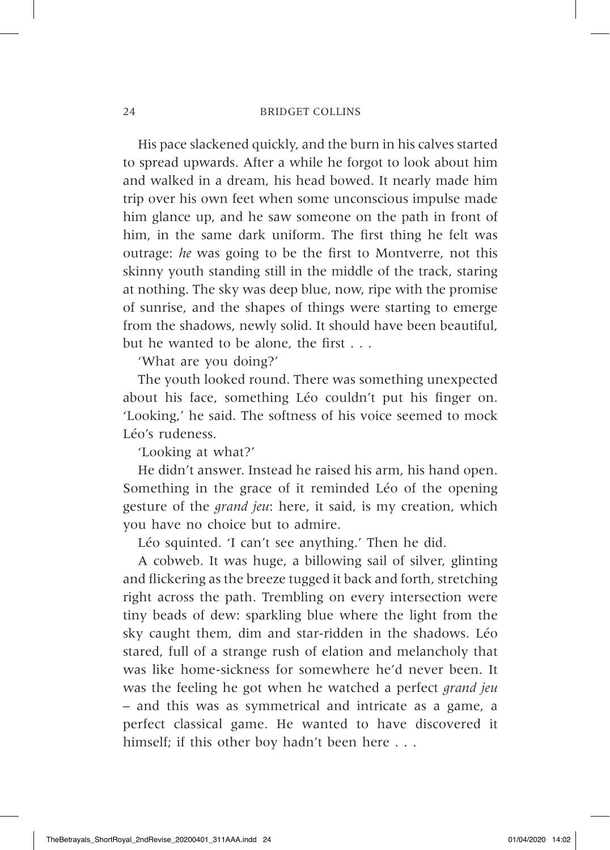His pace slackened quickly, and the burn in his calves started to spread upwards. After a while he forgot to look about him and walked in a dream, his head bowed. It nearly made him trip over his own feet when some unconscious impulse made him glance up, and he saw someone on the path in front of him, in the same dark uniform. The first thing he felt was outrage: *he* was going to be the first to Montverre, not this skinny youth standing still in the middle of the track, staring at nothing. The sky was deep blue, now, ripe with the promise of sunrise, and the shapes of things were starting to emerge from the shadows, newly solid. It should have been beautiful, but he wanted to be alone, the first . . .

'What are you doing?'

The youth looked round. There was something unexpected about his face, something Léo couldn't put his finger on. 'Looking,' he said. The softness of his voice seemed to mock Léo's rudeness.

'Looking at what?'

He didn't answer. Instead he raised his arm, his hand open. Something in the grace of it reminded Léo of the opening gesture of the *grand jeu*: here, it said, is my creation, which you have no choice but to admire.

Léo squinted. 'I can't see anything.' Then he did.

A cobweb. It was huge, a billowing sail of silver, glinting and flickering as the breeze tugged it back and forth, stretching right across the path. Trembling on every intersection were tiny beads of dew: sparkling blue where the light from the sky caught them, dim and star-ridden in the shadows. Léo stared, full of a strange rush of elation and melancholy that was like home-sickness for somewhere he'd never been. It was the feeling he got when he watched a perfect *grand jeu* – and this was as symmetrical and intricate as a game, a perfect classical game. He wanted to have discovered it himself; if this other boy hadn't been here . . .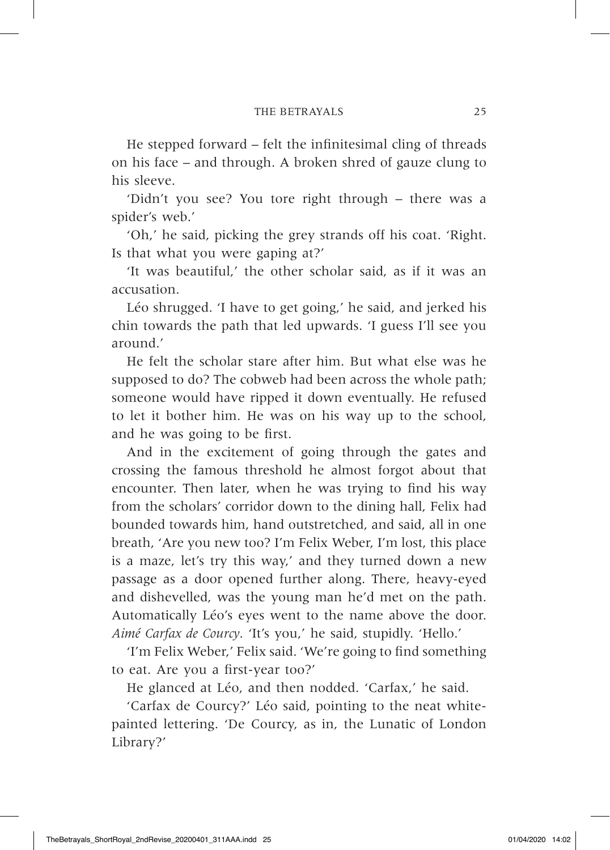He stepped forward – felt the infinitesimal cling of threads on his face – and through. A broken shred of gauze clung to his sleeve.

'Didn't you see? You tore right through – there was a spider's web.'

'Oh,' he said, picking the grey strands off his coat. 'Right. Is that what you were gaping at?'

'It was beautiful,' the other scholar said, as if it was an accusation.

Léo shrugged. 'I have to get going,' he said, and jerked his chin towards the path that led upwards. 'I guess I'll see you around.'

He felt the scholar stare after him. But what else was he supposed to do? The cobweb had been across the whole path; someone would have ripped it down eventually. He refused to let it bother him. He was on his way up to the school, and he was going to be first.

And in the excitement of going through the gates and crossing the famous threshold he almost forgot about that encounter. Then later, when he was trying to find his way from the scholars' corridor down to the dining hall, Felix had bounded towards him, hand outstretched, and said, all in one breath, 'Are you new too? I'm Felix Weber, I'm lost, this place is a maze, let's try this way,' and they turned down a new passage as a door opened further along. There, heavy-eyed and dishevelled, was the young man he'd met on the path. Automatically Léo's eyes went to the name above the door. *Aimé Carfax de Courcy*. 'It's you,' he said, stupidly. 'Hello.'

'I'm Felix Weber,' Felix said. 'We're going to find something to eat. Are you a first-year too?'

He glanced at Léo, and then nodded. 'Carfax,' he said.

'Carfax de Courcy?' Léo said, pointing to the neat whitepainted lettering. 'De Courcy, as in, the Lunatic of London Library?'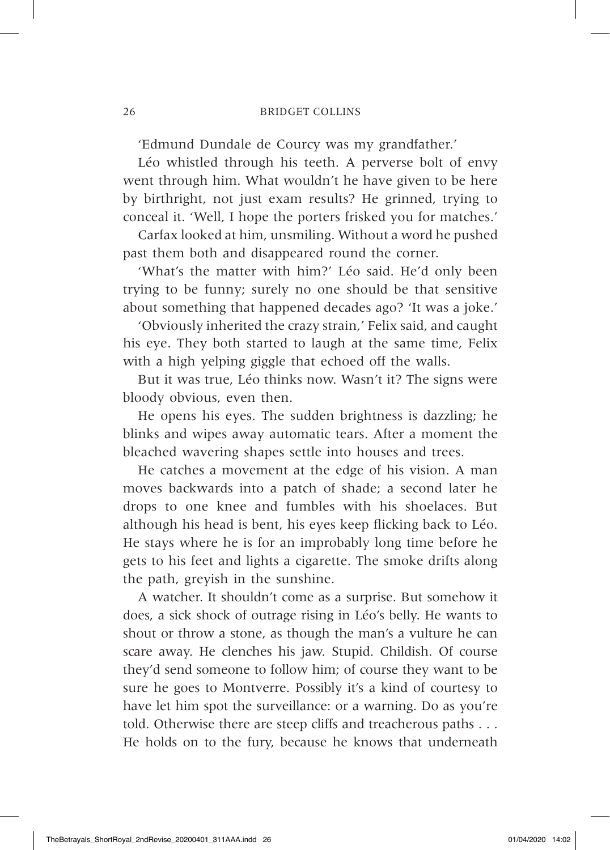'Edmund Dundale de Courcy was my grandfather.'

Léo whistled through his teeth. A perverse bolt of envy went through him. What wouldn't he have given to be here by birthright, not just exam results? He grinned, trying to conceal it. 'Well, I hope the porters frisked you for matches.'

Carfax looked at him, unsmiling. Without a word he pushed past them both and disappeared round the corner.

'What's the matter with him?' Léo said. He'd only been trying to be funny; surely no one should be that sensitive about something that happened decades ago? 'It was a joke.'

'Obviously inherited the crazy strain,' Felix said, and caught his eye. They both started to laugh at the same time, Felix with a high yelping giggle that echoed off the walls.

But it was true, Léo thinks now. Wasn't it? The signs were bloody obvious, even then.

He opens his eyes. The sudden brightness is dazzling; he blinks and wipes away automatic tears. After a moment the bleached wavering shapes settle into houses and trees.

He catches a movement at the edge of his vision. A man moves backwards into a patch of shade; a second later he drops to one knee and fumbles with his shoelaces. But although his head is bent, his eyes keep flicking back to Léo. He stays where he is for an improbably long time before he gets to his feet and lights a cigarette. The smoke drifts along the path, greyish in the sunshine.

A watcher. It shouldn't come as a surprise. But somehow it does, a sick shock of outrage rising in Léo's belly. He wants to shout or throw a stone, as though the man's a vulture he can scare away. He clenches his jaw. Stupid. Childish. Of course they'd send someone to follow him; of course they want to be sure he goes to Montverre. Possibly it's a kind of courtesy to have let him spot the surveillance: or a warning. Do as you're told. Otherwise there are steep cliffs and treacherous paths . . . He holds on to the fury, because he knows that underneath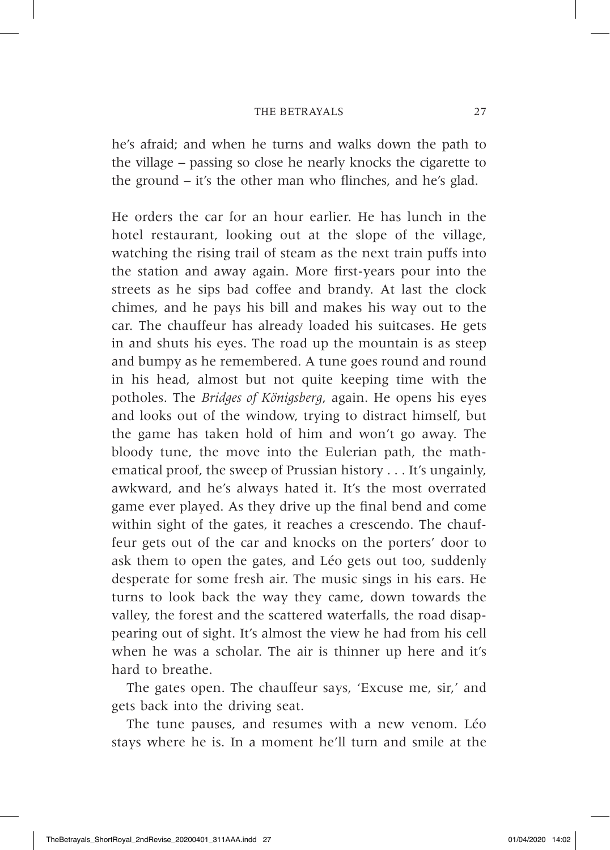he's afraid; and when he turns and walks down the path to the village – passing so close he nearly knocks the cigarette to the ground – it's the other man who flinches, and he's glad.

He orders the car for an hour earlier. He has lunch in the hotel restaurant, looking out at the slope of the village, watching the rising trail of steam as the next train puffs into the station and away again. More first-years pour into the streets as he sips bad coffee and brandy. At last the clock chimes, and he pays his bill and makes his way out to the car. The chauffeur has already loaded his suitcases. He gets in and shuts his eyes. The road up the mountain is as steep and bumpy as he remembered. A tune goes round and round in his head, almost but not quite keeping time with the potholes. The *Bridges of Königsberg*, again. He opens his eyes and looks out of the window, trying to distract himself, but the game has taken hold of him and won't go away. The bloody tune, the move into the Eulerian path, the mathematical proof, the sweep of Prussian history . . . It's ungainly, awkward, and he's always hated it. It's the most overrated game ever played. As they drive up the final bend and come within sight of the gates, it reaches a crescendo. The chauffeur gets out of the car and knocks on the porters' door to ask them to open the gates, and Léo gets out too, suddenly desperate for some fresh air. The music sings in his ears. He turns to look back the way they came, down towards the valley, the forest and the scattered waterfalls, the road disappearing out of sight. It's almost the view he had from his cell when he was a scholar. The air is thinner up here and it's hard to breathe.

The gates open. The chauffeur says, 'Excuse me, sir,' and gets back into the driving seat.

The tune pauses, and resumes with a new venom. Léo stays where he is. In a moment he'll turn and smile at the